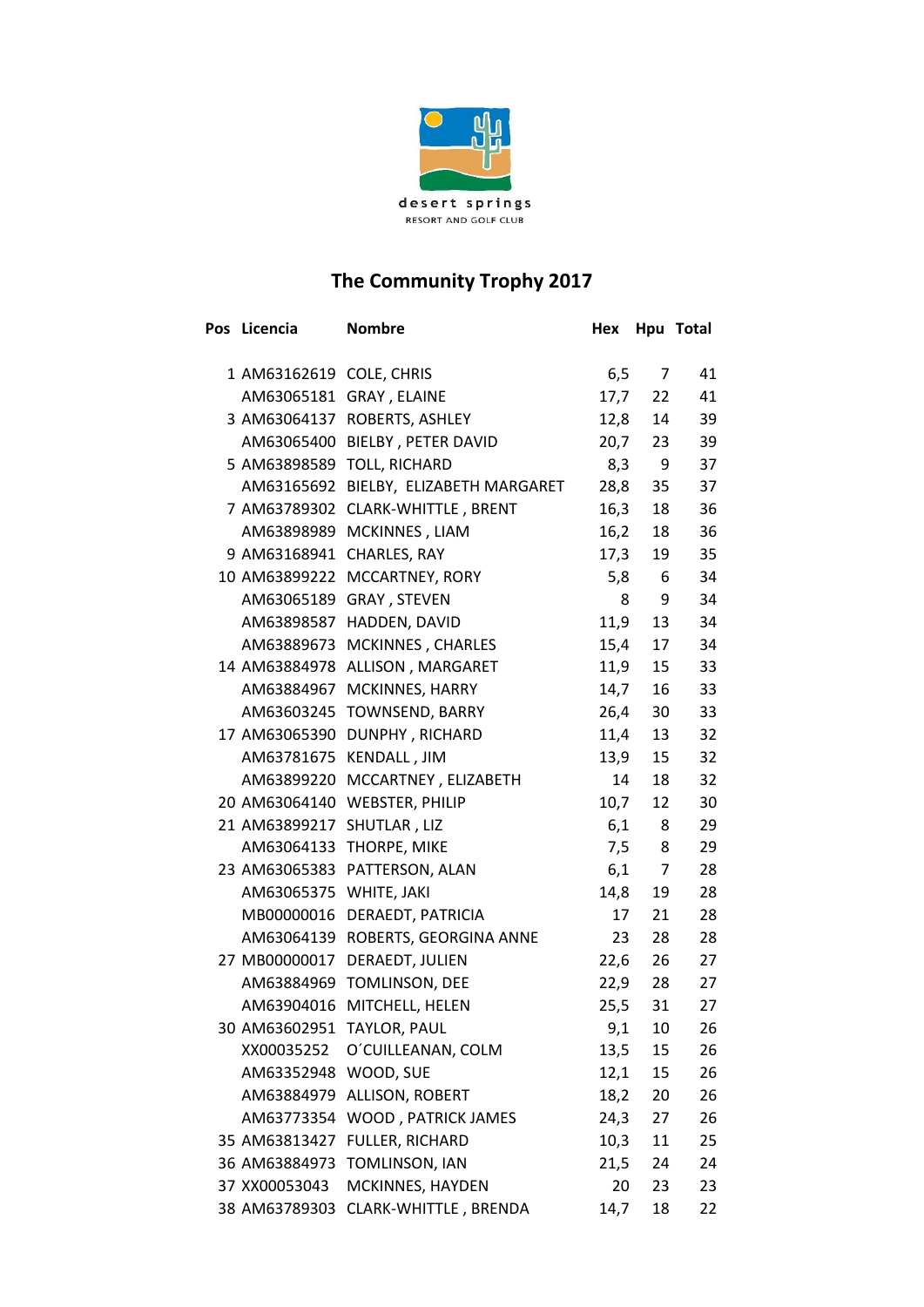

## **The Community Trophy 2017**

| Pos Licencia             | <b>Nombre</b>                         | Hex  |                | Hpu Total |
|--------------------------|---------------------------------------|------|----------------|-----------|
| 1 AM63162619 COLE, CHRIS |                                       | 6,5  | $7^{\circ}$    | 41        |
| AM63065181               | GRAY, ELAINE                          | 17,7 | 22             | 41        |
| 3 AM63064137             | ROBERTS, ASHLEY                       | 12,8 | 14             | 39        |
| AM63065400               | BIELBY, PETER DAVID                   | 20,7 | 23             | 39        |
|                          | 5 AM63898589 TOLL, RICHARD            | 8,3  | 9              | 37        |
|                          | AM63165692 BIELBY, ELIZABETH MARGARET | 28,8 | 35             | 37        |
| 7 AM63789302             | <b>CLARK-WHITTLE, BRENT</b>           | 16,3 | 18             | 36        |
|                          | AM63898989 MCKINNES, LIAM             | 16,2 | 18             | 36        |
| 9 AM63168941             | CHARLES, RAY                          | 17,3 | 19             | 35        |
| 10 AM63899222            | MCCARTNEY, RORY                       | 5,8  | 6 <sup>6</sup> | 34        |
|                          | AM63065189 GRAY, STEVEN               | 8    | 9              | 34        |
| AM63898587               | HADDEN, DAVID                         | 11,9 | 13             | 34        |
|                          | AM63889673 MCKINNES, CHARLES          | 15,4 | 17             | 34        |
| 14 AM63884978            | ALLISON, MARGARET                     | 11,9 | 15             | 33        |
| AM63884967               | MCKINNES, HARRY                       | 14,7 | 16             | 33        |
| AM63603245               | <b>TOWNSEND, BARRY</b>                | 26,4 | 30             | 33        |
| 17 AM63065390            | DUNPHY, RICHARD                       | 11,4 | 13             | 32        |
| AM63781675               | KENDALL, JIM                          | 13,9 | 15             | 32        |
| AM63899220               | MCCARTNEY, ELIZABETH                  | 14   | 18             | 32        |
| 20 AM63064140            | <b>WEBSTER, PHILIP</b>                | 10,7 | 12             | 30        |
| 21 AM63899217            | SHUTLAR, LIZ                          | 6,1  | 8              | 29        |
| AM63064133               | THORPE, MIKE                          | 7,5  | 8              | 29        |
| 23 AM63065383            | PATTERSON, ALAN                       | 6,1  | 7              | 28        |
| AM63065375 WHITE, JAKI   |                                       | 14,8 | 19             | 28        |
| MB00000016               | DERAEDT, PATRICIA                     | 17   | 21             | 28        |
| AM63064139               | ROBERTS, GEORGINA ANNE                | 23   | 28             | 28        |
| 27 MB00000017            | DERAEDT, JULIEN                       | 22,6 | 26             | 27        |
| AM63884969               | TOMLINSON, DEE                        | 22,9 | 28             | 27        |
| AM63904016               | MITCHELL, HELEN                       | 25,5 | 31             | 27        |
| 30 AM63602951            | TAYLOR, PAUL                          | 9,1  | 10             | 26        |
| XX00035252               | O'CUILLEANAN, COLM                    | 13,5 | 15             | 26        |
| AM63352948 WOOD, SUE     |                                       | 12,1 | 15             | 26        |
| AM63884979               | ALLISON, ROBERT                       | 18,2 | 20             | 26        |
| AM63773354               | WOOD, PATRICK JAMES                   | 24,3 | 27             | 26        |
| 35 AM63813427            | FULLER, RICHARD                       | 10,3 | 11             | 25        |
| 36 AM63884973            | TOMLINSON, IAN                        | 21,5 | 24             | 24        |
| 37 XX00053043            | MCKINNES, HAYDEN                      | 20   | 23             | 23        |
| 38 AM63789303            | CLARK-WHITTLE, BRENDA                 | 14,7 | 18             | 22        |